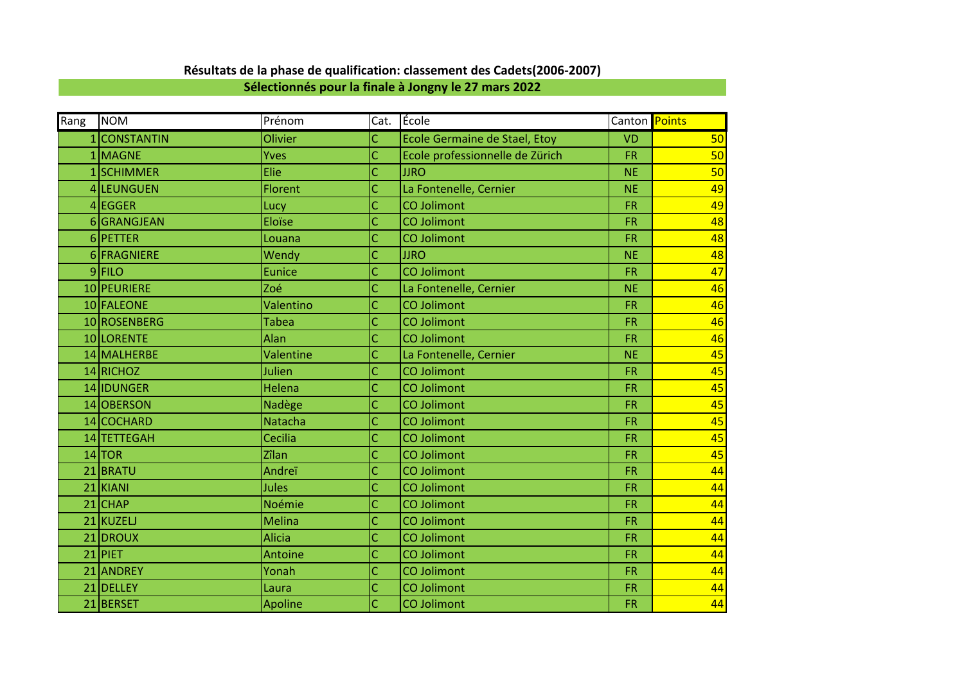| Rang | <b>NOM</b>   | Prénom         | Cat. | Ecole                                | Canton Points |    |
|------|--------------|----------------|------|--------------------------------------|---------------|----|
|      | 1 CONSTANTIN | Olivier        | Ċ    | <b>Ecole Germaine de Stael, Etoy</b> | <b>VD</b>     | 50 |
|      | 1 MAGNE      | Yves           | Ċ    | Ecole professionnelle de Zürich      | <b>FR</b>     | 50 |
|      | 1SCHIMMER    | Elie           | Ċ    | <b>JJRO</b>                          | <b>NE</b>     | 50 |
|      | 4 LEUNGUEN   | <b>Florent</b> | Ć    | La Fontenelle, Cernier               | <b>NE</b>     | 49 |
|      | 4 EGGER      | Lucy           | Ć    | <b>CO Jolimont</b>                   | <b>FR</b>     | 49 |
|      | 6GRANGJEAN   | Eloïse         | Ċ    | <b>CO Jolimont</b>                   | <b>FR</b>     | 48 |
|      | 6PETTER      | Louana         | Ċ    | <b>CO Jolimont</b>                   | <b>FR</b>     | 48 |
|      | 6 FRAGNIERE  | Wendy          | Ć    | <b>JJRO</b>                          | <b>NE</b>     | 48 |
|      | $9$ FILO     | <b>Eunice</b>  | Ć    | <b>CO Jolimont</b>                   | <b>FR</b>     | 47 |
|      | 10 PEURIERE  | Zoé            | Ċ    | La Fontenelle, Cernier               | <b>NE</b>     | 46 |
|      | 10 FALEONE   | Valentino      | Ċ    | <b>CO Jolimont</b>                   | <b>FR</b>     | 46 |
|      | 10 ROSENBERG | <b>Tabea</b>   | Ċ    | <b>CO Jolimont</b>                   | <b>FR</b>     | 46 |
|      | 10 LORENTE   | Alan           | Ć    | <b>CO Jolimont</b>                   | <b>FR</b>     | 46 |
|      | 14 MALHERBE  | Valentine      | Ċ    | La Fontenelle, Cernier               | <b>NE</b>     | 45 |
|      | 14 RICHOZ    | Julien         | Ć    | <b>CO Jolimont</b>                   | <b>FR</b>     | 45 |
|      | 14 IDUNGER   | Helena         | Ć    | <b>CO Jolimont</b>                   | <b>FR</b>     | 45 |
|      | 14 OBERSON   | Nadège         | Ċ    | <b>CO Jolimont</b>                   | <b>FR</b>     | 45 |
|      | 14 COCHARD   | <b>Natacha</b> | Ċ    | <b>CO Jolimont</b>                   | <b>FR</b>     | 45 |
|      | 14 TETTEGAH  | Cecilia        | Ċ    | <b>CO Jolimont</b>                   | <b>FR</b>     | 45 |
|      | $14$ TOR     | Zîlan          | Ċ    | <b>CO Jolimont</b>                   | <b>FR</b>     | 45 |
|      | 21 BRATU     | Andreï         | Ć    | <b>CO Jolimont</b>                   | <b>FR</b>     | 44 |
|      | $21$ KIANI   | Jules          | Ć    | <b>CO Jolimont</b>                   | <b>FR</b>     | 44 |
|      | $21$ CHAP    | Noémie         | Ć    | <b>CO Jolimont</b>                   | <b>FR</b>     | 44 |
|      | 21 KUZELJ    | <b>Melina</b>  | Ċ    | <b>CO Jolimont</b>                   | <b>FR</b>     | 44 |
|      | 21 DROUX     | <b>Alicia</b>  | Ċ    | <b>CO Jolimont</b>                   | <b>FR</b>     | 44 |
|      | $21$ PIET    | Antoine        | Ċ    | <b>CO Jolimont</b>                   | <b>FR</b>     | 44 |
|      | 21 ANDREY    | Yonah          | Ċ    | <b>CO Jolimont</b>                   | <b>FR</b>     | 44 |
|      | 21 DELLEY    | Laura          | Ċ    | <b>CO Jolimont</b>                   | <b>FR</b>     | 44 |
|      | 21 BERSET    | Apoline        | Ċ    | CO Jolimont                          | <b>FR</b>     | 44 |

## **Résultats de la phase de qualification: classement des Cadets(2006-2007)**

**Sélectionnés pour la finale à Jongny le 27 mars 2022**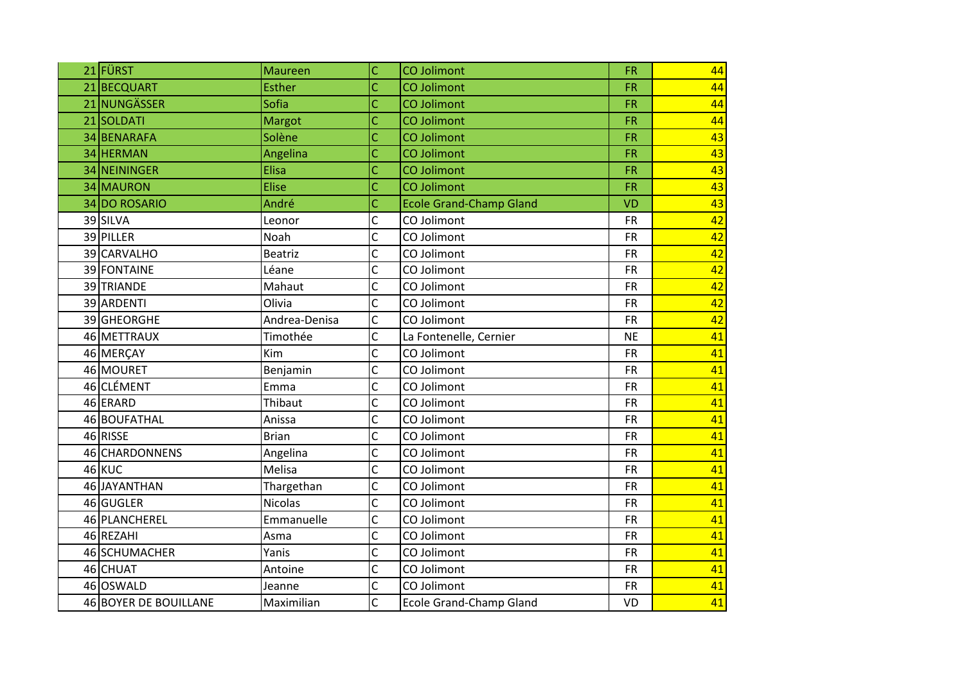| 21 FÜRST              | <b>Maureen</b> | Ċ              | <b>CO Jolimont</b>             | <b>FR</b> | 44 |
|-----------------------|----------------|----------------|--------------------------------|-----------|----|
| 21 BECQUART           | <b>Esther</b>  | Ċ              | <b>CO Jolimont</b>             | <b>FR</b> | 44 |
| 21 NUNGÄSSER          | Sofia          | Ċ              | <b>CO Jolimont</b>             | FR        | 44 |
| 21 SOLDATI            | Margot         | Ċ              | <b>CO Jolimont</b>             | <b>FR</b> | 44 |
| 34 BENARAFA           | Solène         | Ċ              | <b>CO Jolimont</b>             | <b>FR</b> | 43 |
| 34 HERMAN             | Angelina       | Ċ              | <b>CO Jolimont</b>             | <b>FR</b> | 43 |
| 34 NEININGER          | Elisa          | Ċ              | <b>CO Jolimont</b>             | FR        | 43 |
| 34 MAURON             | <b>Elise</b>   | Ċ              | <b>CO Jolimont</b>             | <b>FR</b> | 43 |
| 34 DO ROSARIO         | André          | Ċ              | <b>Ecole Grand-Champ Gland</b> | <b>VD</b> | 43 |
| 39 SILVA              | Leonor         | Ċ              | CO Jolimont                    | <b>FR</b> | 42 |
| 39 PILLER             | Noah           | C              | CO Jolimont                    | <b>FR</b> | 42 |
| 39 CARVALHO           | <b>Beatriz</b> | C              | CO Jolimont                    | <b>FR</b> | 42 |
| 39 FONTAINE           | Léane          | C              | CO Jolimont                    | <b>FR</b> | 42 |
| 39 TRIANDE            | Mahaut         | Ċ              | CO Jolimont                    | <b>FR</b> | 42 |
| 39 ARDENTI            | Olivia         | Ċ              | CO Jolimont                    | <b>FR</b> | 42 |
| 39 GHEORGHE           | Andrea-Denisa  | Ċ              | CO Jolimont                    | <b>FR</b> | 42 |
| 46 METTRAUX           | Timothée       | C              | La Fontenelle, Cernier         | <b>NE</b> | 41 |
| 46 MERÇAY             | Kim            | Ċ              | CO Jolimont                    | <b>FR</b> | 41 |
| 46 MOURET             | Benjamin       | $\overline{C}$ | CO Jolimont                    | <b>FR</b> | 41 |
| 46 CLÉMENT            | Emma           | Ċ              | CO Jolimont                    | <b>FR</b> | 41 |
| 46 ERARD              | Thibaut        | Ċ              | CO Jolimont                    | <b>FR</b> | 41 |
| 46 BOUFATHAL          | Anissa         | Ċ              | CO Jolimont                    | <b>FR</b> | 41 |
| 46 RISSE              | <b>Brian</b>   | Ċ              | CO Jolimont                    | <b>FR</b> | 41 |
| 46 CHARDONNENS        | Angelina       | Ċ              | CO Jolimont                    | <b>FR</b> | 41 |
| 46 KUC                | Melisa         | C              | CO Jolimont                    | <b>FR</b> | 41 |
| 46JAYANTHAN           | Thargethan     | $\overline{C}$ | CO Jolimont                    | <b>FR</b> | 41 |
| 46 GUGLER             | Nicolas        | C              | CO Jolimont                    | <b>FR</b> | 41 |
| 46 PLANCHEREL         | Emmanuelle     | Ċ              | CO Jolimont                    | <b>FR</b> | 41 |
| 46 REZAHI             | Asma           | Ċ              | CO Jolimont                    | <b>FR</b> | 41 |
| 46 SCHUMACHER         | Yanis          | C              | CO Jolimont                    | <b>FR</b> | 41 |
| 46 CHUAT              | Antoine        | C              | CO Jolimont                    | <b>FR</b> | 41 |
| 46 OSWALD             | Jeanne         | C              | CO Jolimont                    | <b>FR</b> | 41 |
| 46 BOYER DE BOUILLANE | Maximilian     | C              | <b>Ecole Grand-Champ Gland</b> | VD        | 41 |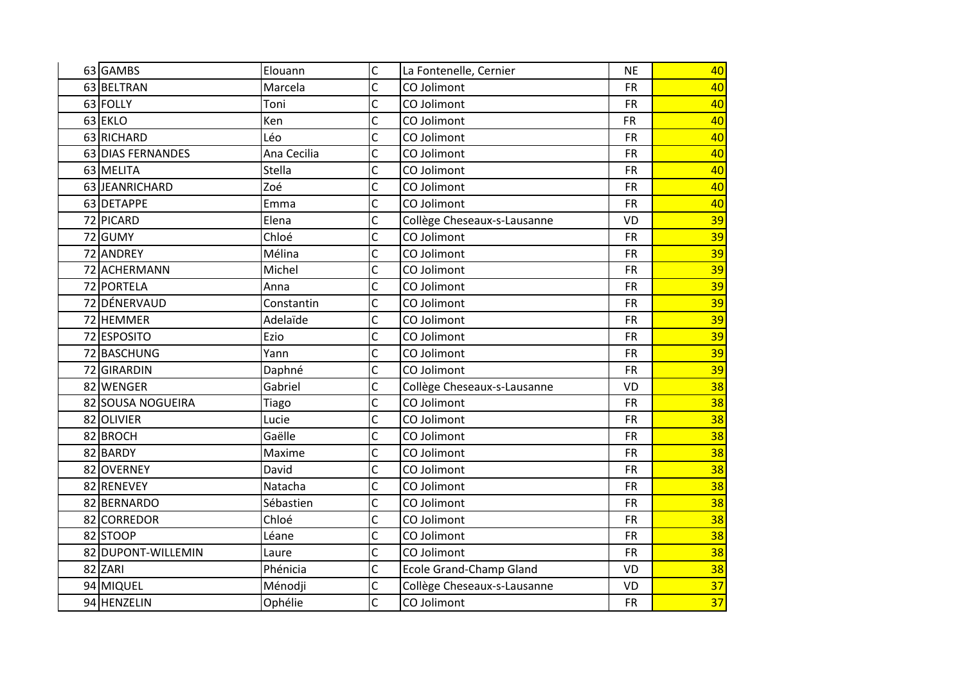| 63 GAMBS           | Elouann     | Ċ | La Fontenelle, Cernier      | <b>NE</b> | 40 |
|--------------------|-------------|---|-----------------------------|-----------|----|
| 63 BELTRAN         | Marcela     | C | CO Jolimont                 | <b>FR</b> | 40 |
| 63 FOLLY           | Toni        | Ċ | CO Jolimont                 | <b>FR</b> | 40 |
| 63 EKLO            | Ken         | C | CO Jolimont                 | <b>FR</b> | 40 |
| 63 RICHARD         | Léo         | Ċ | CO Jolimont                 | <b>FR</b> | 40 |
| 63 DIAS FERNANDES  | Ana Cecilia | C | CO Jolimont                 | <b>FR</b> | 40 |
| 63 MELITA          | Stella      | Ċ | CO Jolimont                 | <b>FR</b> | 40 |
| 63 JEANRICHARD     | Zoé         | C | CO Jolimont                 | <b>FR</b> | 40 |
| 63 DETAPPE         | Emma        | C | CO Jolimont                 | <b>FR</b> | 40 |
| 72 PICARD          | Elena       | C | Collège Cheseaux-s-Lausanne | VD        | 39 |
| 72 GUMY            | Chloé       | C | CO Jolimont                 | <b>FR</b> | 39 |
| 72 ANDREY          | Mélina      | C | CO Jolimont                 | <b>FR</b> | 39 |
| 72 ACHERMANN       | Michel      | Ċ | CO Jolimont                 | <b>FR</b> | 39 |
| 72 PORTELA         | Anna        | Ċ | CO Jolimont                 | <b>FR</b> | 39 |
| 72 DÉNERVAUD       | Constantin  | C | CO Jolimont                 | <b>FR</b> | 39 |
| 72 HEMMER          | Adelaïde    | C | CO Jolimont                 | <b>FR</b> | 39 |
| 72 ESPOSITO        | Ezio        | Ċ | CO Jolimont                 | <b>FR</b> | 39 |
| 72 BASCHUNG        | Yann        | C | CO Jolimont                 | <b>FR</b> | 39 |
| 72 GIRARDIN        | Daphné      | C | CO Jolimont                 | <b>FR</b> | 39 |
| 82 WENGER          | Gabriel     | C | Collège Cheseaux-s-Lausanne | VD        | 38 |
| 82 SOUSA NOGUEIRA  | Tiago       | C | CO Jolimont                 | <b>FR</b> | 38 |
| 82 OLIVIER         | Lucie       | Ċ | CO Jolimont                 | <b>FR</b> | 38 |
| 82 BROCH           | Gaëlle      | C | CO Jolimont                 | <b>FR</b> | 38 |
| 82 BARDY           | Maxime      | C | CO Jolimont                 | <b>FR</b> | 38 |
| 82 OVERNEY         | David       | C | CO Jolimont                 | FR        | 38 |
| 82 RENEVEY         | Natacha     | Ċ | CO Jolimont                 | <b>FR</b> | 38 |
| 82 BERNARDO        | Sébastien   | Ċ | CO Jolimont                 | <b>FR</b> | 38 |
| 82 CORREDOR        | Chloé       | C | CO Jolimont                 | <b>FR</b> | 38 |
| 82 STOOP           | Léane       | Ċ | CO Jolimont                 | <b>FR</b> | 38 |
| 82 DUPONT-WILLEMIN | Laure       | Ċ | CO Jolimont                 | <b>FR</b> | 38 |
| 82 ZARI            | Phénicia    | C | Ecole Grand-Champ Gland     | VD        | 38 |
| 94 MIQUEL          | Ménodji     | Ċ | Collège Cheseaux-s-Lausanne | VD        | 37 |
| 94 HENZELIN        | Ophélie     | Ċ | CO Jolimont                 | <b>FR</b> | 37 |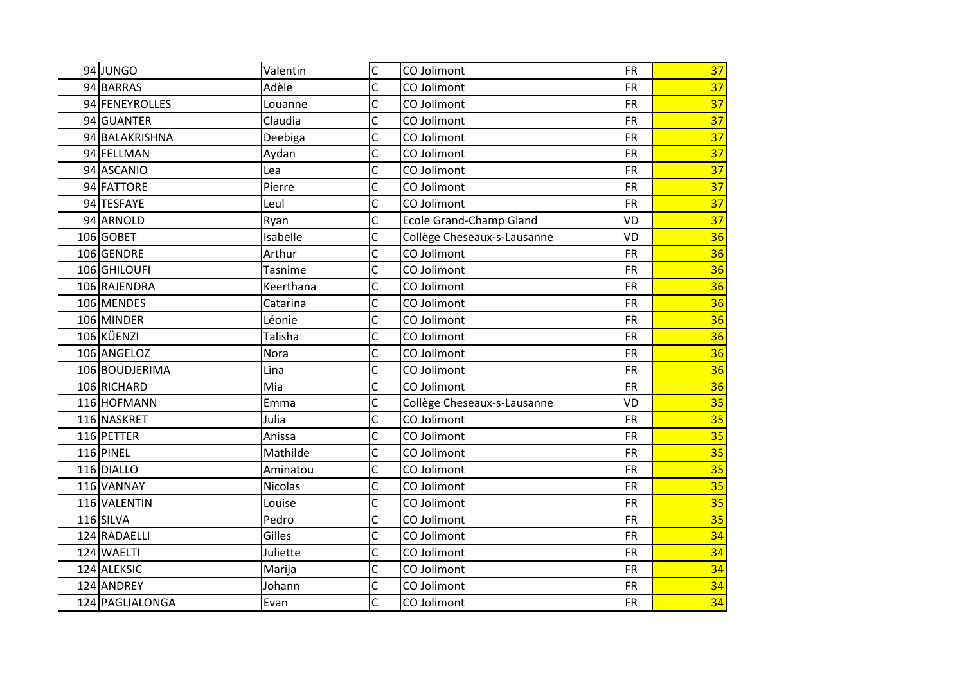| 94 JUNGO        | Valentin       | $\mathsf{C}$   | CO Jolimont                 | <b>FR</b> | 37 |
|-----------------|----------------|----------------|-----------------------------|-----------|----|
| 94 BARRAS       | Adèle          | $\mathsf{C}$   | CO Jolimont                 | <b>FR</b> | 37 |
| 94 FENEYROLLES  | Louanne        | $\overline{C}$ | CO Jolimont                 | <b>FR</b> | 37 |
| 94 GUANTER      | Claudia        | $\overline{C}$ | CO Jolimont                 | <b>FR</b> | 37 |
| 94 BALAKRISHNA  | Deebiga        | $\mathsf C$    | CO Jolimont                 | <b>FR</b> | 37 |
| 94 FELLMAN      | Aydan          | $\mathsf{C}$   | CO Jolimont                 | <b>FR</b> | 37 |
| 94 ASCANIO      | Lea            | $\overline{C}$ | CO Jolimont                 | <b>FR</b> | 37 |
| 94 FATTORE      | Pierre         | $\mathsf{C}$   | CO Jolimont                 | <b>FR</b> | 37 |
| 94 TESFAYE      | Leul           | $\mathsf{C}$   | CO Jolimont                 | <b>FR</b> | 37 |
| 94 ARNOLD       | Ryan           | $\mathsf{C}$   | Ecole Grand-Champ Gland     | VD        | 37 |
| 106 GOBET       | Isabelle       | $\mathsf{C}$   | Collège Cheseaux-s-Lausanne | VD        | 36 |
| 106 GENDRE      | Arthur         | $\mathsf{C}$   | CO Jolimont                 | <b>FR</b> | 36 |
| 106 GHILOUFI    | Tasnime        | $\mathsf{C}$   | CO Jolimont                 | <b>FR</b> | 36 |
| 106 RAJENDRA    | Keerthana      | $\mathsf{C}$   | CO Jolimont                 | <b>FR</b> | 36 |
| 106 MENDES      | Catarina       | $\mathsf{C}$   | CO Jolimont                 | <b>FR</b> | 36 |
| 106 MINDER      | Léonie         | $\mathsf{C}$   | CO Jolimont                 | <b>FR</b> | 36 |
| 106 KÜENZI      | Talisha        | $\mathsf{C}$   | CO Jolimont                 | <b>FR</b> | 36 |
| 106 ANGELOZ     | Nora           | $\mathsf{C}$   | CO Jolimont                 | <b>FR</b> | 36 |
| 106 BOUDJERIMA  | Lina           | $\mathsf{C}$   | CO Jolimont                 | <b>FR</b> | 36 |
| 106 RICHARD     | Mia            | $\mathsf{C}$   | CO Jolimont                 | <b>FR</b> | 36 |
| 116 HOFMANN     | Emma           | $\mathsf{C}$   | Collège Cheseaux-s-Lausanne | VD        | 35 |
| 116 NASKRET     | Julia          | $\overline{C}$ | CO Jolimont                 | <b>FR</b> | 35 |
| 116 PETTER      | Anissa         | $\mathsf{C}$   | CO Jolimont                 | <b>FR</b> | 35 |
| 116 PINEL       | Mathilde       | $\mathsf C$    | CO Jolimont                 | <b>FR</b> | 35 |
| 116 DIALLO      | Aminatou       | $\mathsf{C}$   | CO Jolimont                 | <b>FR</b> | 35 |
| 116 VANNAY      | <b>Nicolas</b> | $\overline{C}$ | CO Jolimont                 | <b>FR</b> | 35 |
| 116 VALENTIN    | Louise         | $\mathsf{C}$   | CO Jolimont                 | <b>FR</b> | 35 |
| 116 SILVA       | Pedro          | $\mathsf C$    | CO Jolimont                 | <b>FR</b> | 35 |
| 124 RADAELLI    | Gilles         | $\mathsf{C}$   | CO Jolimont                 | <b>FR</b> | 34 |
| 124 WAELTI      | Juliette       | $\mathsf{C}$   | CO Jolimont                 | <b>FR</b> | 34 |
| 124 ALEKSIC     | Marija         | $\overline{C}$ | CO Jolimont                 | <b>FR</b> | 34 |
| 124 ANDREY      | Johann         | $\mathsf{C}$   | CO Jolimont                 | <b>FR</b> | 34 |
| 124 PAGLIALONGA | Evan           | $\mathsf{C}$   | CO Jolimont                 | <b>FR</b> | 34 |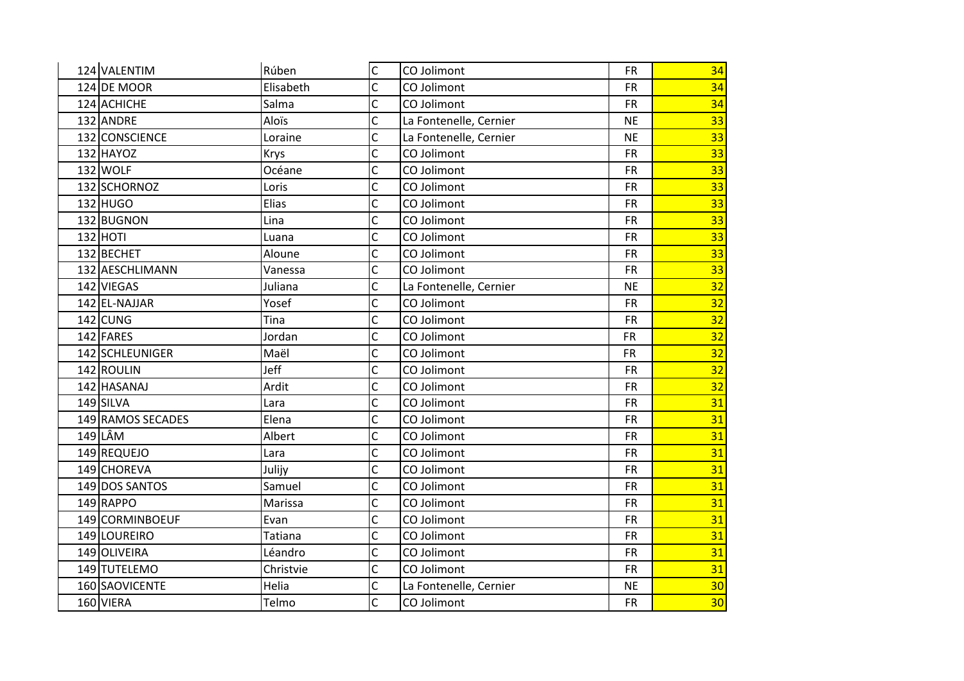| 124 VALENTIM      | Rúben          | $\mathsf{C}$            | CO Jolimont            | <b>FR</b> | 34              |
|-------------------|----------------|-------------------------|------------------------|-----------|-----------------|
| 124 DE MOOR       | Elisabeth      | Ċ                       | CO Jolimont            | <b>FR</b> | 34              |
| 124 ACHICHE       | Salma          | Ċ                       | CO Jolimont            | <b>FR</b> | 34              |
| 132 ANDRE         | Aloïs          | C                       | La Fontenelle, Cernier | <b>NE</b> | 33              |
| 132 CONSCIENCE    | Loraine        | Ċ                       | La Fontenelle, Cernier | <b>NE</b> | $\overline{33}$ |
| 132 HAYOZ         | Krys           | Ċ                       | CO Jolimont            | <b>FR</b> | 33              |
| 132 WOLF          | Océane         | C                       | CO Jolimont            | <b>FR</b> | 33              |
| 132 SCHORNOZ      | Loris          | C                       | CO Jolimont            | <b>FR</b> | 33              |
| 132 HUGO          | Elias          | C                       | CO Jolimont            | <b>FR</b> | 33              |
| 132 BUGNON        | Lina           | C                       | CO Jolimont            | <b>FR</b> | 33              |
| 132 HOTI          | Luana          | C                       | CO Jolimont            | <b>FR</b> | 33              |
| 132 BECHET        | Aloune         | C                       | CO Jolimont            | <b>FR</b> | 33              |
| 132 AESCHLIMANN   | Vanessa        | C                       | CO Jolimont            | <b>FR</b> | 33              |
| 142 VIEGAS        | Juliana        | C                       | La Fontenelle, Cernier | <b>NE</b> | 32              |
| 142 EL-NAJJAR     | Yosef          | $\overline{\mathsf{C}}$ | CO Jolimont            | <b>FR</b> | 32              |
| $142$ CUNG        | Tina           | C                       | CO Jolimont            | <b>FR</b> | 32              |
| 142 FARES         | Jordan         | Ċ                       | CO Jolimont            | <b>FR</b> | 32              |
| 142 SCHLEUNIGER   | Maël           | Ċ                       | CO Jolimont            | <b>FR</b> | 32              |
| 142 ROULIN        | Jeff           | C                       | CO Jolimont            | <b>FR</b> | 32              |
| 142 HASANAJ       | Ardit          | Ċ                       | CO Jolimont            | <b>FR</b> | $\overline{32}$ |
| 149 SILVA         | Lara           | C                       | CO Jolimont            | <b>FR</b> | 31              |
| 149 RAMOS SECADES | Elena          | Ċ                       | CO Jolimont            | <b>FR</b> | 31              |
| 149 LÂM           | Albert         | $\overline{C}$          | CO Jolimont            | <b>FR</b> | 31              |
| 149 REQUEJO       | Lara           | C                       | CO Jolimont            | <b>FR</b> | 31              |
| 149 CHOREVA       | Julijy         | C                       | CO Jolimont            | <b>FR</b> | 31              |
| 149 DOS SANTOS    | Samuel         | Ċ                       | CO Jolimont            | <b>FR</b> | 31              |
| 149RAPPO          | Marissa        | C                       | CO Jolimont            | <b>FR</b> | 31              |
| 149 CORMINBOEUF   | Evan           | C                       | CO Jolimont            | <b>FR</b> | 31              |
| 149 LOUREIRO      | <b>Tatiana</b> | Ċ                       | CO Jolimont            | <b>FR</b> | 31              |
| 149 OLIVEIRA      | Léandro        | C                       | CO Jolimont            | <b>FR</b> | 31              |
| 149 TUTELEMO      | Christvie      | Ċ                       | CO Jolimont            | <b>FR</b> | 31              |
| 160 SAOVICENTE    | Helia          | Ċ                       | La Fontenelle, Cernier | <b>NE</b> | 30 <sub>2</sub> |
| 160 VIERA         | Telmo          | $\overline{C}$          | CO Jolimont            | <b>FR</b> | 30              |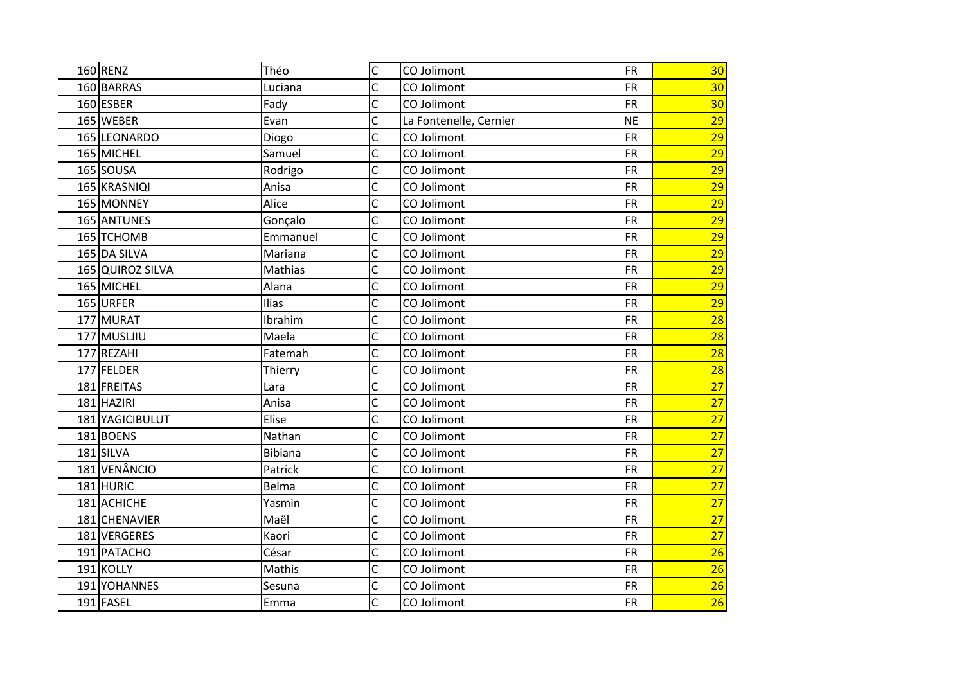| 160 RENZ         | Théo           | $\overline{C}$ | CO Jolimont            | <b>FR</b> | 30 <sub>2</sub> |
|------------------|----------------|----------------|------------------------|-----------|-----------------|
| 160 BARRAS       | Luciana        | Ċ              | CO Jolimont            | <b>FR</b> | 30 <sub>o</sub> |
| 160 ESBER        | Fady           | $\overline{C}$ | CO Jolimont            | <b>FR</b> | 30              |
| 165 WEBER        | Evan           | $\overline{C}$ | La Fontenelle, Cernier | <b>NE</b> | 29              |
| 165 LEONARDO     | Diogo          | C              | CO Jolimont            | <b>FR</b> | $\overline{29}$ |
| 165 MICHEL       | Samuel         | C              | CO Jolimont            | <b>FR</b> | 29              |
| 165 SOUSA        | Rodrigo        | $\overline{C}$ | CO Jolimont            | <b>FR</b> | 29              |
| 165 KRASNIQI     | Anisa          | Ċ              | CO Jolimont            | <b>FR</b> | 29              |
| 165 MONNEY       | Alice          | C              | CO Jolimont            | <b>FR</b> | 29              |
| 165 ANTUNES      | Gonçalo        | Ċ              | CO Jolimont            | <b>FR</b> | 29              |
| 165 TCHOMB       | Emmanuel       | $\overline{C}$ | CO Jolimont            | <b>FR</b> | 29              |
| 165 DA SILVA     | Mariana        | C              | CO Jolimont            | <b>FR</b> | 29              |
| 165 QUIROZ SILVA | Mathias        | C              | CO Jolimont            | <b>FR</b> | 29              |
| 165 MICHEL       | Alana          | Ċ              | CO Jolimont            | <b>FR</b> | 29              |
| 165 URFER        | Ilias          | $\overline{C}$ | CO Jolimont            | <b>FR</b> | 29              |
| 177 MURAT        | Ibrahim        | C              | CO Jolimont            | <b>FR</b> | 28              |
| 177 MUSLJIU      | Maela          | Ċ              | CO Jolimont            | <b>FR</b> | 28              |
| 177 REZAHI       | Fatemah        | Ċ              | CO Jolimont            | <b>FR</b> | 28              |
| 177 FELDER       | Thierry        | C              | CO Jolimont            | <b>FR</b> | 28              |
| 181 FREITAS      | Lara           | Ċ              | CO Jolimont            | <b>FR</b> | $\overline{27}$ |
| 181 HAZIRI       | Anisa          | Ċ              | CO Jolimont            | <b>FR</b> | $\overline{27}$ |
| 181 YAGICIBULUT  | Elise          | C              | CO Jolimont            | <b>FR</b> | 27              |
| 181BOENS         | Nathan         | C              | CO Jolimont            | <b>FR</b> | 27              |
| 181 SILVA        | <b>Bibiana</b> | C              | CO Jolimont            | <b>FR</b> | $\overline{27}$ |
| 181 VENÂNCIO     | Patrick        | C              | CO Jolimont            | <b>FR</b> | 27              |
| 181 HURIC        | Belma          | C              | CO Jolimont            | <b>FR</b> | 27              |
| 181 ACHICHE      | Yasmin         | C              | CO Jolimont            | <b>FR</b> | 27              |
| 181 CHENAVIER    | Maël           | C              | CO Jolimont            | <b>FR</b> | $\overline{27}$ |
| 181 VERGERES     | Kaori          | C              | CO Jolimont            | <b>FR</b> | 27              |
| 191 PATACHO      | César          | Ċ              | CO Jolimont            | <b>FR</b> | 26              |
| 191 KOLLY        | Mathis         | $\overline{C}$ | CO Jolimont            | <b>FR</b> | 26              |
| 191 YOHANNES     | Sesuna         | Ċ              | CO Jolimont            | <b>FR</b> | $\overline{26}$ |
| 191 FASEL        | Emma           | $\overline{C}$ | CO Jolimont            | <b>FR</b> | 26              |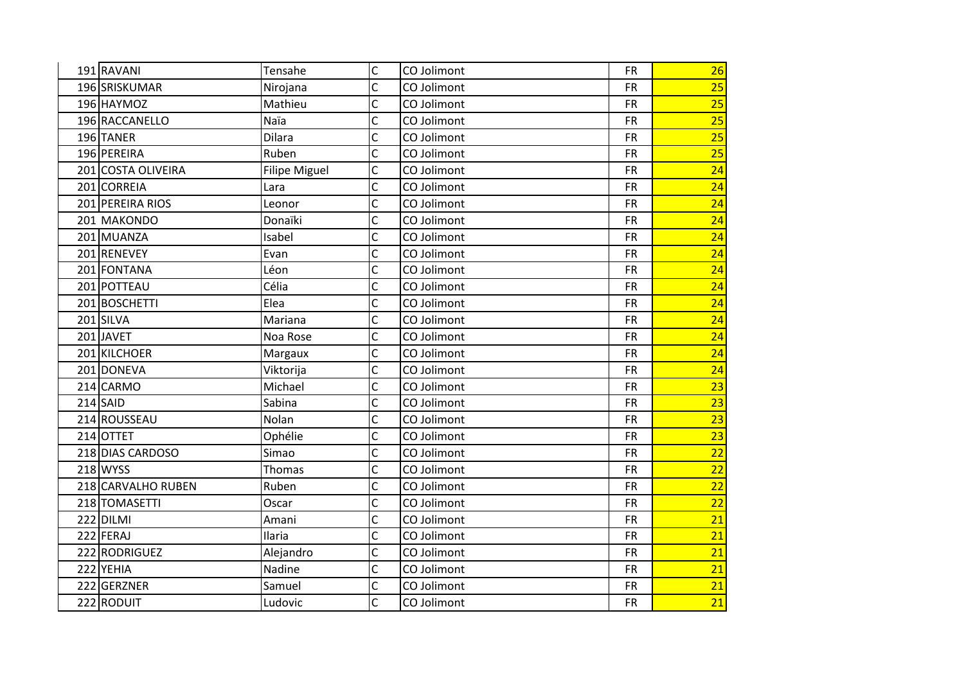| 191 RAVANI         | Tensahe              | $\mathsf{C}$ | CO Jolimont | <b>FR</b> | 26              |
|--------------------|----------------------|--------------|-------------|-----------|-----------------|
| 196 SRISKUMAR      | Nirojana             | C            | CO Jolimont | <b>FR</b> | 25              |
| 196 HAYMOZ         | Mathieu              | Ċ            | CO Jolimont | <b>FR</b> | 25              |
| 196 RACCANELLO     | Naïa                 | C            | CO Jolimont | <b>FR</b> | 25              |
| 196 TANER          | Dilara               | Ċ            | CO Jolimont | <b>FR</b> | 25              |
| 196 PEREIRA        | Ruben                | C            | CO Jolimont | <b>FR</b> | $\overline{25}$ |
| 201 COSTA OLIVEIRA | <b>Filipe Miguel</b> | $\mathsf{C}$ | CO Jolimont | <b>FR</b> | 24              |
| 201 CORREIA        | Lara                 | C            | CO Jolimont | <b>FR</b> | 24              |
| 201 PEREIRA RIOS   | Leonor               | Ċ            | CO Jolimont | <b>FR</b> | 24              |
| 201 MAKONDO        | Donaïki              | Ċ            | CO Jolimont | <b>FR</b> | 24              |
| 201 MUANZA         | Isabel               | C            | CO Jolimont | <b>FR</b> | 24              |
| 201 RENEVEY        | Evan                 | Ċ            | CO Jolimont | <b>FR</b> | 24              |
| 201 FONTANA        | Léon                 | C            | CO Jolimont | <b>FR</b> | 24              |
| 201 POTTEAU        | Célia                | Ċ            | CO Jolimont | <b>FR</b> | 24              |
| 201 BOSCHETTI      | Elea                 | Ċ            | CO Jolimont | <b>FR</b> | 24              |
| 201 SILVA          | Mariana              | C            | CO Jolimont | <b>FR</b> | 24              |
| 201JAVET           | Noa Rose             | Ċ            | CO Jolimont | <b>FR</b> | 24              |
| 201 KILCHOER       | Margaux              | Ċ            | CO Jolimont | <b>FR</b> | 24              |
| 201 DONEVA         | Viktorija            | C            | CO Jolimont | <b>FR</b> | 24              |
| 214 CARMO          | Michael              | C            | CO Jolimont | <b>FR</b> | $\overline{23}$ |
| $214$ SAID         | Sabina               | Ċ            | CO Jolimont | <b>FR</b> | $\overline{23}$ |
| 214 ROUSSEAU       | Nolan                | C            | CO Jolimont | <b>FR</b> | 23              |
| 214 OTTET          | Ophélie              | Ċ            | CO Jolimont | <b>FR</b> | 23              |
| 218 DIAS CARDOSO   | Simao                | C            | CO Jolimont | <b>FR</b> | $\overline{22}$ |
| 218 WYSS           | Thomas               | C            | CO Jolimont | <b>FR</b> | 22              |
| 218 CARVALHO RUBEN | Ruben                | Ċ            | CO Jolimont | <b>FR</b> | 22              |
| 218 TOMASETTI      | Oscar                | C            | CO Jolimont | <b>FR</b> | 22              |
| 222 DILMI          | Amani                | C            | CO Jolimont | <b>FR</b> | 21              |
| 222 FERAJ          | Ilaria               | C            | CO Jolimont | <b>FR</b> | 21              |
| 222 RODRIGUEZ      | Alejandro            | Ċ            | CO Jolimont | <b>FR</b> | 21              |
| 222 YEHIA          | Nadine               | Ċ            | CO Jolimont | <b>FR</b> | 21              |
| 222 GERZNER        | Samuel               | C            | CO Jolimont | <b>FR</b> | 21              |
| 222 RODUIT         | Ludovic              | C            | CO Jolimont | <b>FR</b> | 21              |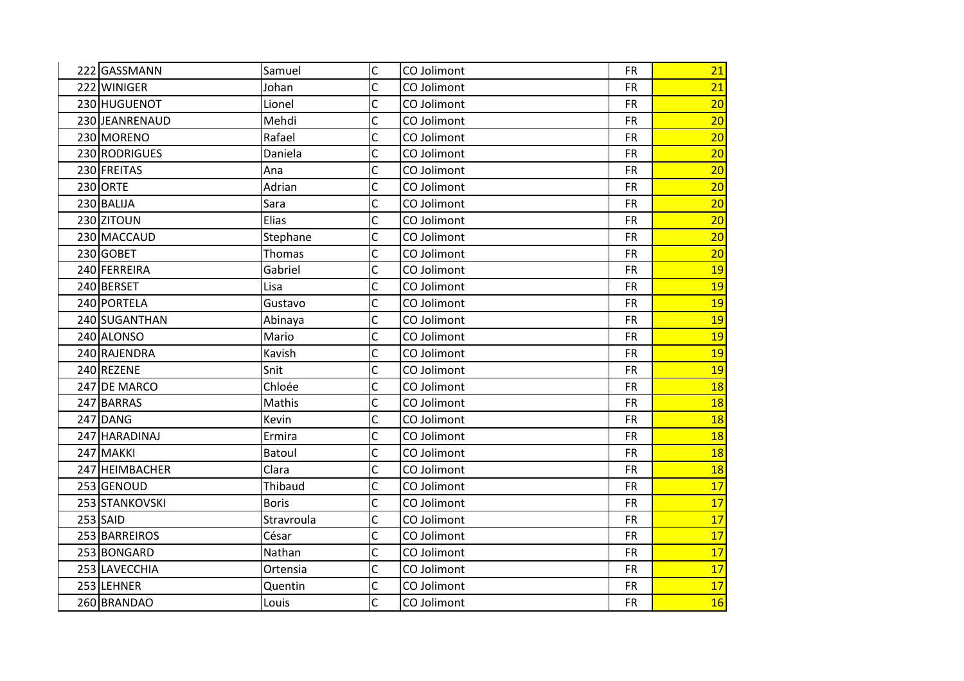| 222 GASSMANN   | Samuel        | $\mathsf{C}$   | CO Jolimont | <b>FR</b> | 21        |
|----------------|---------------|----------------|-------------|-----------|-----------|
| 222 WINIGER    | Johan         | C              | CO Jolimont | <b>FR</b> | 21        |
| 230 HUGUENOT   | Lionel        | $\overline{C}$ | CO Jolimont | <b>FR</b> | 20        |
| 230 JEANRENAUD | Mehdi         | C              | CO Jolimont | <b>FR</b> | 20        |
| 230 MORENO     | Rafael        | Ċ              | CO Jolimont | <b>FR</b> | 20        |
| 230 RODRIGUES  | Daniela       | C              | CO Jolimont | <b>FR</b> | 20        |
| 230 FREITAS    | Ana           | C              | CO Jolimont | <b>FR</b> | 20        |
| 230 ORTE       | Adrian        | C              | CO Jolimont | <b>FR</b> | 20        |
| 230 BALIJA     | Sara          | C              | CO Jolimont | <b>FR</b> | 20        |
| 230 ZITOUN     | Elias         | Ċ              | CO Jolimont | <b>FR</b> | 20        |
| 230 MACCAUD    | Stephane      | $\overline{C}$ | CO Jolimont | <b>FR</b> | 20        |
| 230 GOBET      | Thomas        | C              | CO Jolimont | <b>FR</b> | 20        |
| 240 FERREIRA   | Gabriel       | C              | CO Jolimont | <b>FR</b> | 19        |
| 240 BERSET     | Lisa          | C              | CO Jolimont | <b>FR</b> | 19        |
| 240 PORTELA    | Gustavo       | $\overline{C}$ | CO Jolimont | <b>FR</b> | <b>19</b> |
| 240 SUGANTHAN  | Abinaya       | C              | CO Jolimont | <b>FR</b> | 19        |
| 240 ALONSO     | Mario         | Ċ              | CO Jolimont | <b>FR</b> | 19        |
| 240 RAJENDRA   | Kavish        | C              | CO Jolimont | <b>FR</b> | 19        |
| 240 REZENE     | Snit          | C              | CO Jolimont | <b>FR</b> | 19        |
| 247 DE MARCO   | Chloée        | C              | CO Jolimont | <b>FR</b> | 18        |
| 247 BARRAS     | Mathis        | C              | CO Jolimont | <b>FR</b> | 18        |
| 247 DANG       | Kevin         | C              | CO Jolimont | <b>FR</b> | <b>18</b> |
| 247 HARADINAJ  | Ermira        | C              | CO Jolimont | <b>FR</b> | <b>18</b> |
| 247 MAKKI      | <b>Batoul</b> | C              | CO Jolimont | <b>FR</b> | <b>18</b> |
| 247 HEIMBACHER | Clara         | C              | CO Jolimont | <b>FR</b> | 18        |
| 253 GENOUD     | Thibaud       | C              | CO Jolimont | <b>FR</b> | 17        |
| 253 STANKOVSKI | <b>Boris</b>  | C              | CO Jolimont | <b>FR</b> | 17        |
| $253$ SAID     | Stravroula    | C              | CO Jolimont | <b>FR</b> | 17        |
| 253 BARREIROS  | César         | C              | CO Jolimont | <b>FR</b> | 17        |
| 253 BONGARD    | Nathan        | $\overline{C}$ | CO Jolimont | <b>FR</b> | 17        |
| 253 LAVECCHIA  | Ortensia      | $\overline{C}$ | CO Jolimont | <b>FR</b> | 17        |
| 253 LEHNER     | Quentin       | C              | CO Jolimont | <b>FR</b> | 17        |
| 260 BRANDAO    | Louis         | $\overline{C}$ | CO Jolimont | <b>FR</b> | <b>16</b> |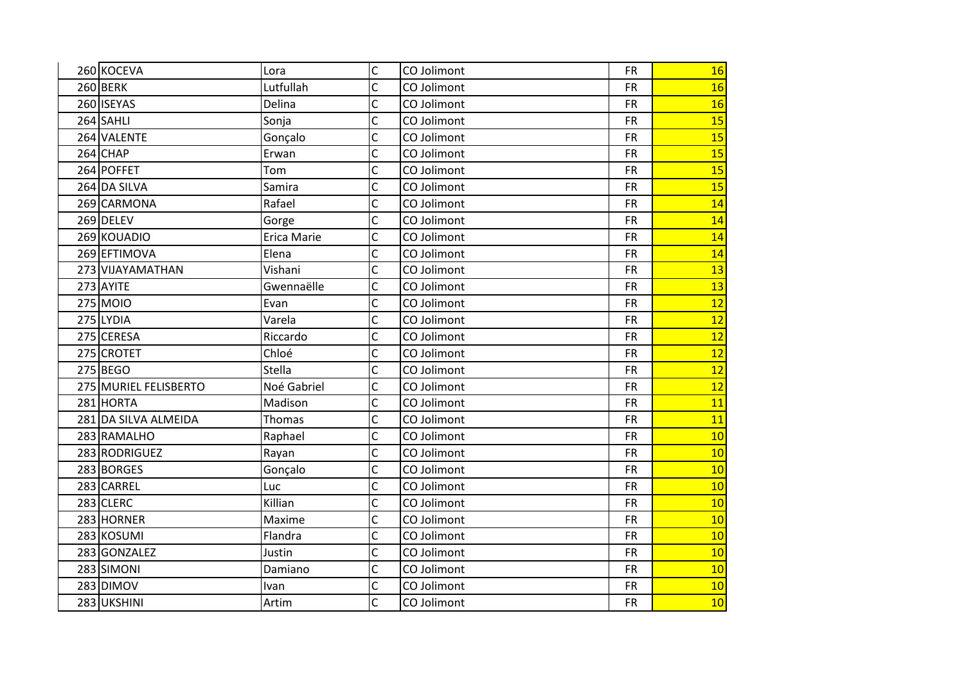| 260 KOCEVA            | Lora        | $\mathsf{C}$            | CO Jolimont | <b>FR</b> | 16 |
|-----------------------|-------------|-------------------------|-------------|-----------|----|
| 260 BERK              | Lutfullah   | C                       | CO Jolimont | <b>FR</b> | 16 |
| 260 ISEYAS            | Delina      | $\overline{C}$          | CO Jolimont | <b>FR</b> | 16 |
| 264 SAHLI             | Sonja       | C                       | CO Jolimont | <b>FR</b> | 15 |
| 264 VALENTE           | Gonçalo     | Ċ                       | CO Jolimont | <b>FR</b> | 15 |
| $264$ CHAP            | Erwan       | Ċ                       | CO Jolimont | <b>FR</b> | 15 |
| 264 POFFET            | Tom         | C                       | CO Jolimont | <b>FR</b> | 15 |
| 264 DA SILVA          | Samira      | C                       | CO Jolimont | <b>FR</b> | 15 |
| 269 CARMONA           | Rafael      | Ċ                       | CO Jolimont | <b>FR</b> | 14 |
| 269 DELEV             | Gorge       | C                       | CO Jolimont | <b>FR</b> | 14 |
| 269 KOUADIO           | Erica Marie | C                       | CO Jolimont | <b>FR</b> | 14 |
| 269 EFTIMOVA          | Elena       | C                       | CO Jolimont | <b>FR</b> | 14 |
| 273 VIJAYAMATHAN      | Vishani     | Ċ                       | CO Jolimont | <b>FR</b> | 13 |
| 273 AYITE             | Gwennaëlle  | Ċ                       | CO Jolimont | <b>FR</b> | 13 |
| 275 MOIO              | Evan        | C                       | CO Jolimont | <b>FR</b> | 12 |
| 275 LYDIA             | Varela      | C                       | CO Jolimont | <b>FR</b> | 12 |
| 275 CERESA            | Riccardo    | C                       | CO Jolimont | <b>FR</b> | 12 |
| 275 CROTET            | Chloé       | Ċ                       | CO Jolimont | <b>FR</b> | 12 |
| 275 BEGO              | Stella      | C                       | CO Jolimont | <b>FR</b> | 12 |
| 275 MURIEL FELISBERTO | Noé Gabriel | C                       | CO Jolimont | <b>FR</b> | 12 |
| 281 HORTA             | Madison     | Ċ                       | CO Jolimont | <b>FR</b> | 11 |
| 281 DA SILVA ALMEIDA  | Thomas      | Ċ                       | CO Jolimont | <b>FR</b> | 11 |
| 283 RAMALHO           | Raphael     | C                       | CO Jolimont | <b>FR</b> | 10 |
| 283 RODRIGUEZ         | Rayan       | C                       | CO Jolimont | <b>FR</b> | 10 |
| 283 BORGES            | Gonçalo     | C                       | CO Jolimont | <b>FR</b> | 10 |
| 283 CARREL            | Luc         | Ċ                       | CO Jolimont | <b>FR</b> | 10 |
| $283$ CLERC           | Killian     | $\overline{C}$          | CO Jolimont | <b>FR</b> | 10 |
| 283 HORNER            | Maxime      | C                       | CO Jolimont | <b>FR</b> | 10 |
| 283 KOSUMI            | Flandra     | Ċ                       | CO Jolimont | <b>FR</b> | 10 |
| 283 GONZALEZ          | Justin      | C                       | CO Jolimont | <b>FR</b> | 10 |
| 283 SIMONI            | Damiano     | $\overline{\mathsf{C}}$ | CO Jolimont | <b>FR</b> | 10 |
| 283 DIMOV             | Ivan        | Ċ                       | CO Jolimont | <b>FR</b> | 10 |
| 283 UKSHINI           | Artim       | Ċ                       | CO Jolimont | <b>FR</b> | 10 |